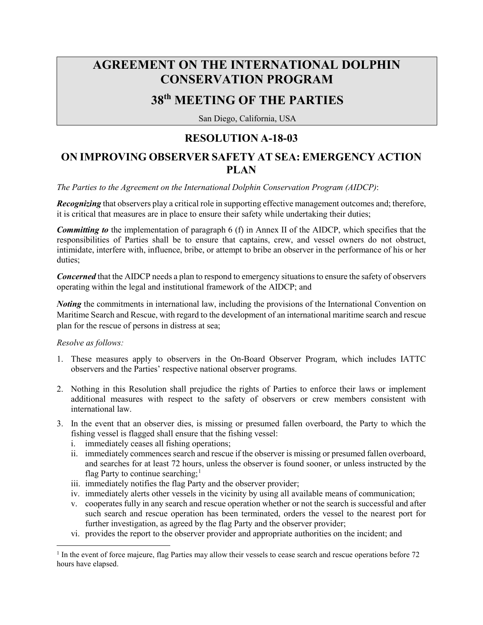## **AGREEMENT ON THE INTERNATIONAL DOLPHIN CONSERVATION PROGRAM**

## **38th MEETING OF THE PARTIES**

San Diego, California, USA

## **RESOLUTION A-18-03**

## **ON IMPROVING OBSERVER SAFETY AT SEA: EMERGENCY ACTION PLAN**

*The Parties to the Agreement on the International Dolphin Conservation Program (AIDCP)*:

*Recognizing* that observers play a critical role in supporting effective management outcomes and; therefore, it is critical that measures are in place to ensure their safety while undertaking their duties;

*Committing to* the implementation of paragraph 6 (f) in Annex II of the AIDCP, which specifies that the responsibilities of Parties shall be to ensure that captains, crew, and vessel owners do not obstruct, intimidate, interfere with, influence, bribe, or attempt to bribe an observer in the performance of his or her duties;

**Concerned** that the AIDCP needs a plan to respond to emergency situations to ensure the safety of observers operating within the legal and institutional framework of the AIDCP; and

*Noting* the commitments in international law, including the provisions of the International Convention on Maritime Search and Rescue, with regard to the development of an international maritime search and rescue plan for the rescue of persons in distress at sea;

*Resolve as follows:* 

 $\overline{\phantom{a}}$ 

- 1. These measures apply to observers in the On-Board Observer Program, which includes IATTC observers and the Parties' respective national observer programs.
- 2. Nothing in this Resolution shall prejudice the rights of Parties to enforce their laws or implement additional measures with respect to the safety of observers or crew members consistent with international law.
- 3. In the event that an observer dies, is missing or presumed fallen overboard, the Party to which the fishing vessel is flagged shall ensure that the fishing vessel:
	- i. immediately ceases all fishing operations;
	- ii. immediately commences search and rescue if the observer is missing or presumed fallen overboard, and searches for at least 72 hours, unless the observer is found sooner, or unless instructed by the flag Party to continue searching;<sup>[1](#page-0-0)</sup>
	- iii. immediately notifies the flag Party and the observer provider;
	- iv. immediately alerts other vessels in the vicinity by using all available means of communication;
	- v. cooperates fully in any search and rescue operation whether or not the search is successful and after such search and rescue operation has been terminated, orders the vessel to the nearest port for further investigation, as agreed by the flag Party and the observer provider;
	- vi. provides the report to the observer provider and appropriate authorities on the incident; and

<span id="page-0-0"></span> $<sup>1</sup>$  In the event of force majeure, flag Parties may allow their vessels to cease search and rescue operations before 72</sup> hours have elapsed.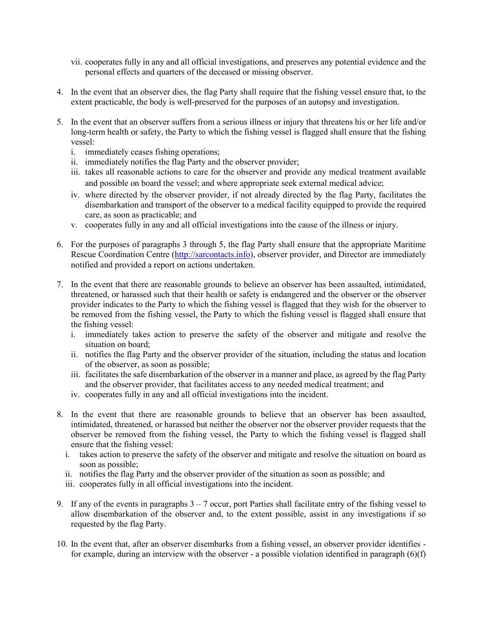- vii. cooperates fully in any and all official investigations, and preserves any potential evidence and the personal effects and quarters of the deceased or missing observer.
- 4. In the event that an observer dies, the flag Party shall require that the fishing vessel ensure that, to the extent practicable, the body is well-preserved for the purposes of an autopsy and investigation.
- 5. In the event that an observer suffers from a serious illness or injury that threatens his or her life and/or long-term health or safety, the Party to which the fishing vessel is flagged shall ensure that the fishing vessel:
	- i. immediately ceases fishing operations;
	- ii. immediately notifies the flag Party and the observer provider;
	- iii. takes all reasonable actions to care for the observer and provide any medical treatment available and possible on board the vessel; and where appropriate seek external medical advice;
	- iv. where directed by the observer provider, if not already directed by the flag Party, facilitates the disembarkation and transport of the observer to a medical facility equipped to provide the required care, as soon as practicable; and
	- v. cooperates fully in any and all official investigations into the cause of the illness or injury.
- 6. For the purposes of paragraphs 3 through 5, the flag Party shall ensure that the appropriate Maritime Rescue Coordination Centre [\(http://sarcontacts.info\)](http://sarcontacts.info/), observer provider, and Director are immediately notified and provided a report on actions undertaken.
- 7. In the event that there are reasonable grounds to believe an observer has been assaulted, intimidated, threatened, or harassed such that their health or safety is endangered and the observer or the observer provider indicates to the Party to which the fishing vessel is flagged that they wish for the observer to be removed from the fishing vessel, the Party to which the fishing vessel is flagged shall ensure that the fishing vessel:
	- i. immediately takes action to preserve the safety of the observer and mitigate and resolve the situation on board;
	- ii. notifies the flag Party and the observer provider of the situation, including the status and location of the observer, as soon as possible;
	- iii. facilitates the safe disembarkation of the observer in a manner and place, as agreed by the flag Party and the observer provider, that facilitates access to any needed medical treatment; and
	- iv. cooperates fully in any and all official investigations into the incident.
- 8. In the event that there are reasonable grounds to believe that an observer has been assaulted, intimidated, threatened, or harassed but neither the observer nor the observer provider requests that the observer be removed from the fishing vessel, the Party to which the fishing vessel is flagged shall ensure that the fishing vessel:
	- i. takes action to preserve the safety of the observer and mitigate and resolve the situation on board as soon as possible;
	- ii. notifies the flag Party and the observer provider of the situation as soon as possible; and
	- iii. cooperates fully in all official investigations into the incident.
- 9. If any of the events in paragraphs  $3 7$  occur, port Parties shall facilitate entry of the fishing vessel to allow disembarkation of the observer and, to the extent possible, assist in any investigations if so requested by the flag Party.
- 10. In the event that, after an observer disembarks from a fishing vessel, an observer provider identifies for example, during an interview with the observer - a possible violation identified in paragraph (6)(f)